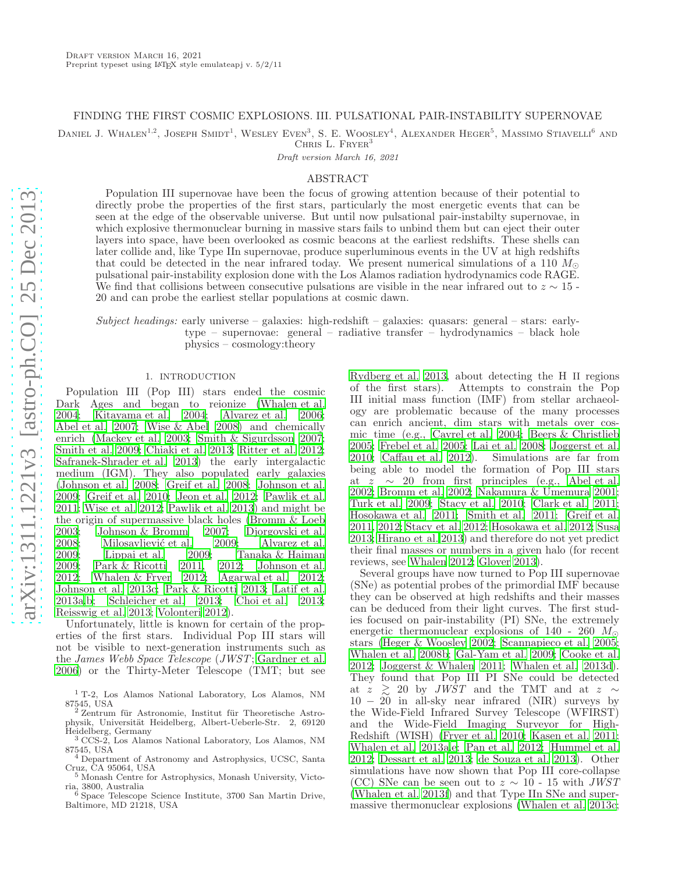# FINDING THE FIRST COSMIC EXPLOSIONS. III. PULSATIONAL PAIR-INSTABILITY SUPERNOVAE

DANIEL J. WHALEN<sup>1,2</sup>, JOSEPH SMIDT<sup>1</sup>, WESLEY EVEN<sup>3</sup>, S. E. WOOSLEY<sup>4</sup>, ALEXANDER HEGER<sup>5</sup>, MASSIMO STIAVELLI<sup>6</sup> AND CHRIS L. FRYER<sup>3</sup>

Draft version March 16, 2021

#### ABSTRACT

Population III supernovae have been the focus of growing attention because of their potential to directly probe the properties of the first stars, particularly the most energetic events that can be seen at the edge of the observable universe. But until now pulsational pair-instabilty supernovae, in which explosive thermonuclear burning in massive stars fails to unbind them but can eject their outer layers into space, have been overlooked as cosmic beacons at the earliest redshifts. These shells can later collide and, like Type IIn supernovae, produce superluminous events in the UV at high redshifts that could be detected in the near infrared today. We present numerical simulations of a 110  $M_{\odot}$ pulsational pair-instability explosion done with the Los Alamos radiation hydrodynamics code RAGE. We find that collisions between consecutive pulsations are visible in the near infrared out to  $z \sim 15$ . 20 and can probe the earliest stellar populations at cosmic dawn.

Subject headings: early universe – galaxies: high-redshift – galaxies: quasars: general – stars: earlytype – supernovae: general – radiative transfer – hydrodynamics – black hole physics – cosmology:theory

## 1. INTRODUCTION

Population III (Pop III) stars ended the cosmic Dark Ages and began to reionize [\(Whalen et al.](#page-8-0) [2004;](#page-8-0) [Kitayama et al. 2004;](#page-7-0) [Alvarez et al. 2006;](#page-6-0) [Abel et al. 2007;](#page-6-1) [Wise & Abel 2008](#page-8-1)) and chemically enrich [\(Mackey et al. 2003;](#page-7-1) [Smith & Sigurdsson 2007;](#page-7-2) [Smith et al. 2009;](#page-8-2) [Chiaki et al. 2013;](#page-6-2) [Ritter et al. 2012;](#page-7-3) [Safranek-Shrader et al. 2013\)](#page-7-4) the early intergalactic medium (IGM). They also populated early galaxies [\(Johnson et al. 2008;](#page-7-5) [Greif et al. 2008;](#page-7-6) [Johnson et al.](#page-7-7) [2009;](#page-7-7) [Greif et al. 2010;](#page-7-8) [Jeon et al. 2012;](#page-7-9) [Pawlik et al.](#page-7-10) [2011;](#page-7-10) [Wise et al. 2012;](#page-8-3) [Pawlik et al. 2013](#page-7-11)) and might be the origin of supermassive black holes [\(Bromm & Loeb](#page-6-3) 2003; Johnson & Bromm 2007; Djorgovski et al. [2003;](#page-6-3) [Johnson & Bromm 2007;](#page-7-12) [Djorgovski et al.](#page-7-13) [2008;](#page-7-13) Milosavljević et al. 2009; [Alvarez et al.](#page-6-4)<br>2009; Lippai et al. 2009; Tanaka & Haiman [2009;](#page-6-4) [Lippai et al. 2009;](#page-7-15) [Tanaka & Haiman](#page-8-4) 2009; Park & Ricotti 2011, 2012; Johnson et al. [2009;](#page-8-4) [Park & Ricotti 2011,](#page-7-16) [2012;](#page-7-17) [Johnson et al.](#page-7-18)<br>2012; Whalen & Fryer 2012; Agarwal et al. 2012; [2012;](#page-7-18) [Whalen & Fryer 2012](#page-8-5); [Agarwal et al. 2012;](#page-6-5) [Johnson et al. 2013c;](#page-7-19) [Park & Ricotti 2013;](#page-7-20) [Latif et al.](#page-7-21) [2013a](#page-7-21)[,b;](#page-7-22) [Schleicher et al. 2013;](#page-7-23) [Choi et al. 2013;](#page-6-6) [Reisswig et al. 2013;](#page-7-24) [Volonteri 2012\)](#page-8-6).

Unfortunately, little is known for certain of the properties of the first stars. Individual Pop III stars will not be visible to next-generation instruments such as the James Webb Space Telescope (JWST; [Gardner et al.](#page-7-25) [2006\)](#page-7-25) or the Thirty-Meter Telescope (TMT; but see [Rydberg et al. 2013](#page-7-26), about detecting the H II regions Attempts to constrain the Pop III initial mass function (IMF) from stellar archaeology are problematic because of the many processes can enrich ancient, dim stars with metals over cosmic time (e.g., [Cayrel et al. 2004](#page-6-7); [Beers & Christlieb](#page-6-8) [2005;](#page-6-8) [Frebel et al. 2005;](#page-7-27) [Lai et al. 2008;](#page-7-28) [Joggerst et al.](#page-7-29) [2010;](#page-7-29) [Caffau et al. 2012\)](#page-6-9). Simulations are far from being able to model the formation of Pop III stars at  $z \sim 20$  from first principles (e.g., [Abel et al.](#page-6-10) [2002;](#page-6-10) [Bromm et al. 2002;](#page-6-11) [Nakamura & Umemura 2001](#page-7-30); [Turk et al. 2009](#page-8-7); [Stacy et al. 2010;](#page-8-8) [Clark et al. 2011](#page-6-12); [Hosokawa et al. 2011;](#page-7-31) [Smith et al. 2011;](#page-8-9) [Greif et al.](#page-7-32) [2011,](#page-7-32) [2012;](#page-7-33) [Stacy et al. 2012;](#page-8-10) [Hosokawa et al. 2012;](#page-7-34) [Susa](#page-8-11) [2013;](#page-8-11) [Hirano et al. 2013](#page-7-35)) and therefore do not yet predict their final masses or numbers in a given halo (for recent reviews, see [Whalen 2012;](#page-8-12) [Glover 2013\)](#page-7-36).

Several groups have now turned to Pop III supernovae (SNe) as potential probes of the primordial IMF because they can be observed at high redshifts and their masses can be deduced from their light curves. The first studies focused on pair-instability (PI) SNe, the extremely energetic thermonuclear explosions of 140 - 260  $M_{\odot}$ stars [\(Heger & Woosley 2002;](#page-7-37) [Scannapieco et al. 2005](#page-7-38); [Whalen et al. 2008b;](#page-8-13) [Gal-Yam et al. 2009;](#page-7-39) [Cooke et al.](#page-6-13) [2012;](#page-6-13) [Joggerst & Whalen 2011](#page-7-40); [Whalen et al. 2013d](#page-8-14)). They found that Pop III PI SNe could be detected at z  $\geq$  20 by *JWST* and the TMT and at z ∼ 10 − 20 in all-sky near infrared (NIR) surveys by the Wide-Field Infrared Survey Telescope (WFIRST) and the Wide-Field Imaging Surveyor for High-Redshift (WISH) [\(Fryer et al. 2010;](#page-7-41) [Kasen et al. 2011](#page-7-42); [Whalen et al. 2013a](#page-8-15)[,e](#page-8-16); [Pan et al. 2012](#page-7-43); [Hummel et al.](#page-7-44) [2012;](#page-7-44) [Dessart et al. 2013;](#page-7-45) [de Souza et al. 2013\)](#page-7-46). Other simulations have now shown that Pop III core-collapse (CC) SNe can be seen out to  $z \sim 10$  - 15 with JWST [\(Whalen et al. 2013f\)](#page-8-17) and that Type IIn SNe and supermassive thermonuclear explosions [\(Whalen et al. 2013c](#page-8-18);

<sup>1</sup> T-2, Los Alamos National Laboratory, Los Alamos, NM

<sup>87545,</sup> USA<br><sup>2</sup> Zentrum für Astronomie, Institut für Theoretische Astrophysik, Universität Heidelberg, Albert-Ueberle-Str. 2, 69120 Heidelberg, Germany

<sup>3</sup> CCS-2, Los Alamos National Laboratory, Los Alamos, NM 87545, USA <sup>4</sup> Department of Astronomy and Astrophysics, UCSC, Santa

Cruz, CA 95064, USA

<sup>5</sup> Monash Centre for Astrophysics, Monash University, Victoria, 3800, Australia <sup>6</sup> Space Telescope Science Institute, 3700 San Martin Drive,

Baltimore, MD 21218, USA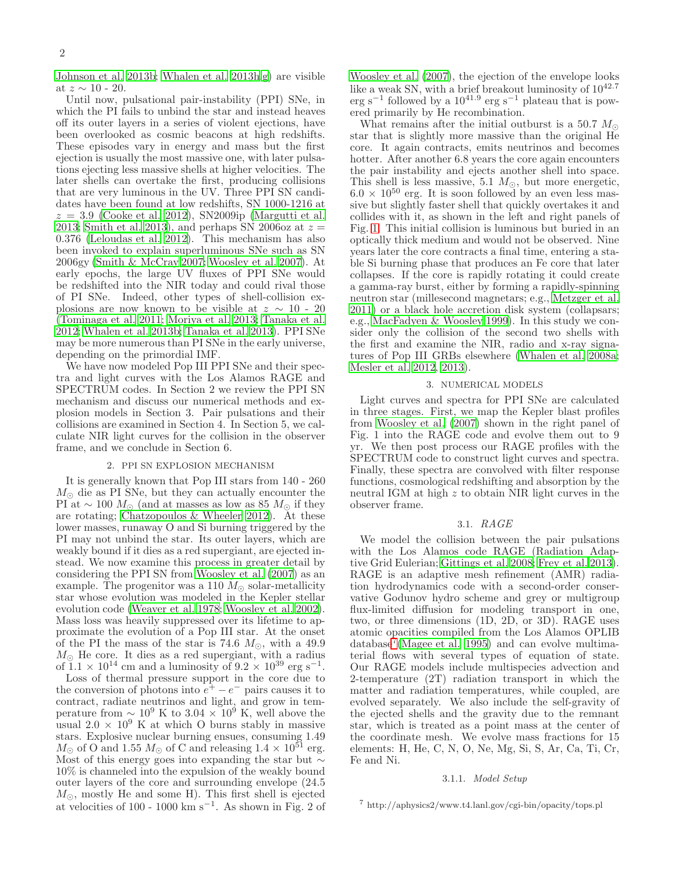[Johnson et al. 2013b;](#page-7-47) [Whalen et al. 2013h](#page-8-19)[,g](#page-8-20)) are visible at  $z \sim 10$  - 20.

Until now, pulsational pair-instability (PPI) SNe, in which the PI fails to unbind the star and instead heaves off its outer layers in a series of violent ejections, have been overlooked as cosmic beacons at high redshifts. These episodes vary in energy and mass but the first ejection is usually the most massive one, with later pulsations ejecting less massive shells at higher velocities. The later shells can overtake the first, producing collisions that are very luminous in the UV. Three PPI SN candidates have been found at low redshifts, SN 1000-1216 at  $z = 3.9$  [\(Cooke et al. 2012\)](#page-6-13), SN2009ip [\(Margutti et al.](#page-7-48) [2013;](#page-7-48) [Smith et al. 2013\)](#page-8-21), and perhaps SN 2006 $\alpha$  at  $z =$ 0.376 [\(Leloudas et al. 2012\)](#page-7-49). This mechanism has also been invoked to explain superluminous SNe such as SN 2006gy [\(Smith & McCray 2007;](#page-8-22) [Woosley et al. 2007](#page-8-23)). At early epochs, the large UV fluxes of PPI SNe would be redshifted into the NIR today and could rival those of PI SNe. Indeed, other types of shell-collision explosions are now known to be visible at  $z \sim 10$  - 20 [\(Tominaga et al. 2011;](#page-8-24) [Moriya et al. 2013;](#page-7-50) [Tanaka et al.](#page-8-25) [2012;](#page-8-25) [Whalen et al. 2013b;](#page-8-26) [Tanaka et al. 2013\)](#page-8-27). PPI SNe may be more numerous than PI SNe in the early universe, depending on the primordial IMF.

We have now modeled Pop III PPI SNe and their spectra and light curves with the Los Alamos RAGE and SPECTRUM codes. In Section 2 we review the PPI SN mechanism and discuss our numerical methods and explosion models in Section 3. Pair pulsations and their collisions are examined in Section 4. In Section 5, we calculate NIR light curves for the collision in the observer frame, and we conclude in Section 6.

## 2. PPI SN EXPLOSION MECHANISM

It is generally known that Pop III stars from 140 - 260  $M_{\odot}$  die as PI SNe, but they can actually encounter the PI at  $\sim 100 M_{\odot}$  (and at masses as low as 85  $M_{\odot}$  if they are rotating; [Chatzopoulos & Wheeler 2012\)](#page-6-14). At these lower masses, runaway O and Si burning triggered by the PI may not unbind the star. Its outer layers, which are weakly bound if it dies as a red supergiant, are ejected instead. We now examine this process in greater detail by considering the PPI SN from [Woosley et al. \(2007](#page-8-23)) as an example. The progenitor was a 110  $M_{\odot}$  solar-metallicity star whose evolution was modeled in the Kepler stellar evolution code [\(Weaver et al. 1978](#page-8-28); [Woosley et al. 2002\)](#page-8-29). Mass loss was heavily suppressed over its lifetime to approximate the evolution of a Pop III star. At the onset of the PI the mass of the star is 74.6  $M_{\odot}$ , with a 49.9  $M_{\odot}$  He core. It dies as a red supergiant, with a radius of  $1.1 \times 10^{14}$  cm and a luminosity of  $9.2 \times 10^{39}$  erg s<sup>-1</sup>.

Loss of thermal pressure support in the core due to the conversion of photons into  $e^+ - e^-$  pairs causes it to contract, radiate neutrinos and light, and grow in temperature from  $\sim 10^9$  K to 3.04 × 10<sup>9</sup> K, well above the usual  $2.0 \times 10^9$  K at which O burns stably in massive stars. Explosive nuclear burning ensues, consuming 1.49  $M_{\odot}$  of O and 1.55  $M_{\odot}$  of C and releasing  $1.4 \times 10^{51}$  erg. Most of this energy goes into expanding the star but ∼ 10% is channeled into the expulsion of the weakly bound outer layers of the core and surrounding envelope (24.5  $M_{\odot}$ , mostly He and some H). This first shell is ejected at velocities of 100 - 1000 km s<sup>-1</sup>. As shown in Fig. 2 of

[Woosley et al. \(2007\)](#page-8-23), the ejection of the envelope looks like a weak SN, with a brief breakout luminosity of  $10^{42.7}$ erg s<sup>-1</sup> followed by a  $10^{41.9}$  erg s<sup>-1</sup> plateau that is powered primarily by He recombination.

What remains after the initial outburst is a 50.7  $M_{\odot}$ star that is slightly more massive than the original He core. It again contracts, emits neutrinos and becomes hotter. After another 6.8 years the core again encounters the pair instability and ejects another shell into space. This shell is less massive, 5.1  $M_{\odot}$ , but more energetic,  $6.0 \times 10^{50}$  erg. It is soon followed by an even less massive but slightly faster shell that quickly overtakes it and collides with it, as shown in the left and right panels of Fig. [1.](#page-2-0) This initial collision is luminous but buried in an optically thick medium and would not be observed. Nine years later the core contracts a final time, entering a stable Si burning phase that produces an Fe core that later collapses. If the core is rapidly rotating it could create a gamma-ray burst, either by forming a rapidly-spinning neutron star (millesecond magnetars; e.g., [Metzger et al.](#page-7-51) [2011\)](#page-7-51) or a black hole accretion disk system (collapsars; e.g., [MacFadyen & Woosley 1999\)](#page-7-52). In this study we consider only the collision of the second two shells with the first and examine the NIR, radio and x-ray signatures of Pop III GRBs elsewhere [\(Whalen et al. 2008a](#page-8-30); [Mesler et al. 2012,](#page-7-53) [2013\)](#page-7-54).

## 3. NUMERICAL MODELS

Light curves and spectra for PPI SNe are calculated in three stages. First, we map the Kepler blast profiles from [Woosley et al. \(2007\)](#page-8-23) shown in the right panel of Fig. 1 into the RAGE code and evolve them out to 9 yr. We then post process our RAGE profiles with the SPECTRUM code to construct light curves and spectra. Finally, these spectra are convolved with filter response functions, cosmological redshifting and absorption by the neutral IGM at high z to obtain NIR light curves in the observer frame.

## 3.1. RAGE

We model the collision between the pair pulsations with the Los Alamos code RAGE (Radiation Adaptive Grid Eulerian; [Gittings et al. 2008](#page-7-55); [Frey et al. 2013](#page-7-56)). RAGE is an adaptive mesh refinement (AMR) radiation hydrodynamics code with a second-order conservative Godunov hydro scheme and grey or multigroup flux-limited diffusion for modeling transport in one, two, or three dimensions (1D, 2D, or 3D). RAGE uses atomic opacities compiled from the Los Alamos OPLIB database<sup>[7](#page-1-0)</sup>[\(Magee et al. 1995](#page-7-57)) and can evolve multimaterial flows with several types of equation of state. Our RAGE models include multispecies advection and 2-temperature (2T) radiation transport in which the matter and radiation temperatures, while coupled, are evolved separately. We also include the self-gravity of the ejected shells and the gravity due to the remnant star, which is treated as a point mass at the center of the coordinate mesh. We evolve mass fractions for 15 elements: H, He, C, N, O, Ne, Mg, Si, S, Ar, Ca, Ti, Cr, Fe and Ni.

#### 3.1.1. Model Setup

<span id="page-1-0"></span><sup>7</sup> http://aphysics2/www.t4.lanl.gov/cgi-bin/opacity/tops.pl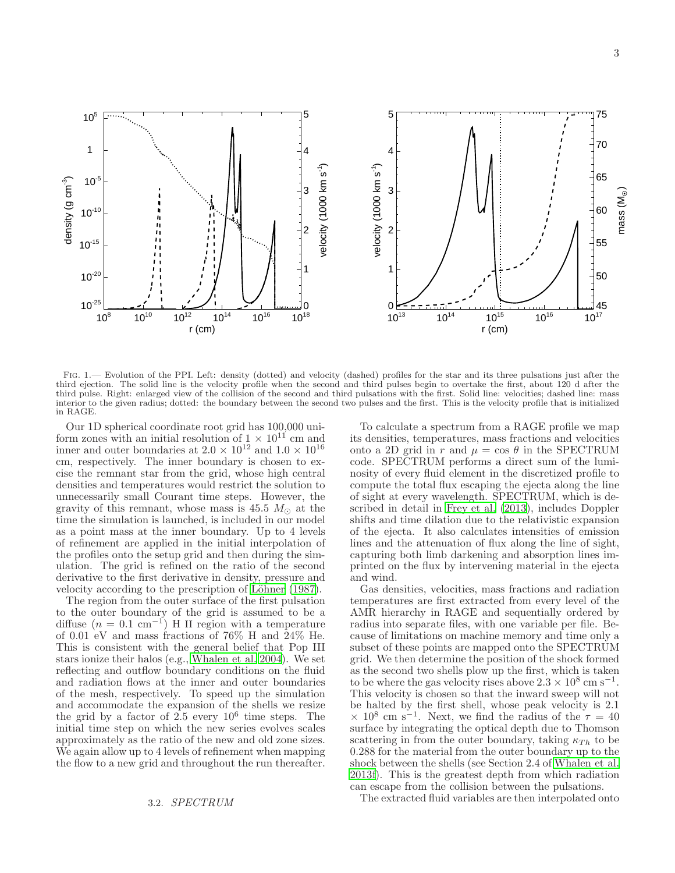

<span id="page-2-0"></span>FIG. 1.— Evolution of the PPI. Left: density (dotted) and velocity (dashed) profiles for the star and its three pulsations just after the third ejection. The solid line is the velocity profile when the second and third pulses begin to overtake the first, about 120 d after the third pulse. Right: enlarged view of the collision of the second and third pulsations with the first. Solid line: velocities; dashed line: mass interior to the given radius; dotted: the boundary between the second two pulses and the first. This is the velocity profile that is initialized in RAGE.

Our 1D spherical coordinate root grid has 100,000 uniform zones with an initial resolution of  $1 \times 10^{11}$  cm and inner and outer boundaries at  $2.0 \times 10^{12}$  and  $1.0 \times 10^{16}$ cm, respectively. The inner boundary is chosen to excise the remnant star from the grid, whose high central densities and temperatures would restrict the solution to unnecessarily small Courant time steps. However, the gravity of this remnant, whose mass is 45.5  $M_{\odot}$  at the time the simulation is launched, is included in our model as a point mass at the inner boundary. Up to 4 levels of refinement are applied in the initial interpolation of the profiles onto the setup grid and then during the simulation. The grid is refined on the ratio of the second derivative to the first derivative in density, pressure and velocity according to the prescription of Löhner (1987).

The region from the outer surface of the first pulsation to the outer boundary of the grid is assumed to be a diffuse  $(n = 0.1 \text{ cm}^{-1})$  H II region with a temperature of 0.01 eV and mass fractions of 76% H and 24% He. This is consistent with the general belief that Pop III stars ionize their halos (e.g., [Whalen et al. 2004\)](#page-8-0). We set reflecting and outflow boundary conditions on the fluid and radiation flows at the inner and outer boundaries of the mesh, respectively. To speed up the simulation and accommodate the expansion of the shells we resize the grid by a factor of  $2.5$  every  $10^6$  time steps. The initial time step on which the new series evolves scales approximately as the ratio of the new and old zone sizes. We again allow up to 4 levels of refinement when mapping the flow to a new grid and throughout the run thereafter.

To calculate a spectrum from a RAGE profile we map its densities, temperatures, mass fractions and velocities onto a 2D grid in r and  $\mu = \cos \theta$  in the SPECTRUM code. SPECTRUM performs a direct sum of the luminosity of every fluid element in the discretized profile to compute the total flux escaping the ejecta along the line of sight at every wavelength. SPECTRUM, which is described in detail in [Frey et al. \(2013\)](#page-7-56), includes Doppler shifts and time dilation due to the relativistic expansion of the ejecta. It also calculates intensities of emission lines and the attenuation of flux along the line of sight, capturing both limb darkening and absorption lines imprinted on the flux by intervening material in the ejecta and wind.

Gas densities, velocities, mass fractions and radiation temperatures are first extracted from every level of the AMR hierarchy in RAGE and sequentially ordered by radius into separate files, with one variable per file. Because of limitations on machine memory and time only a subset of these points are mapped onto the SPECTRUM grid. We then determine the position of the shock formed as the second two shells plow up the first, which is taken to be where the gas velocity rises above  $2.3 \times 10^8$  cm s<sup>-1</sup>. This velocity is chosen so that the inward sweep will not be halted by the first shell, whose peak velocity is 2.1  $\times$  10<sup>8</sup> cm s<sup>-1</sup>. Next, we find the radius of the  $\tau = 40$ surface by integrating the optical depth due to Thomson scattering in from the outer boundary, taking  $\kappa_{Th}$  to be 0.288 for the material from the outer boundary up to the shock between the shells (see Section 2.4 of [Whalen et al.](#page-8-17) [2013f\)](#page-8-17). This is the greatest depth from which radiation can escape from the collision between the pulsations.

The extracted fluid variables are then interpolated onto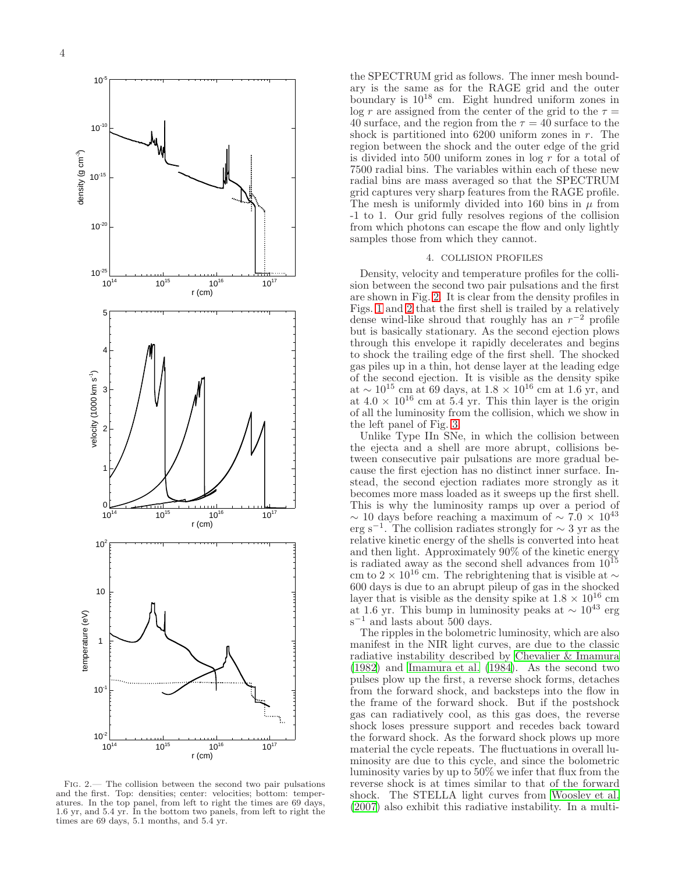

<span id="page-3-0"></span>Fig. 2.— The collision between the second two pair pulsations and the first. Top: densities; center: velocities; bottom: temperatures. In the top panel, from left to right the times are 69 days, 1.6 yr, and 5.4 yr. In the bottom two panels, from left to right the times are 69 days, 5.1 months, and 5.4 yr.

the SPECTRUM grid as follows. The inner mesh boundary is the same as for the RAGE grid and the outer boundary is  $10^{18}$  cm. Eight hundred uniform zones in log r are assigned from the center of the grid to the  $\tau =$ 40 surface, and the region from the  $\tau = 40$  surface to the shock is partitioned into  $6200$  uniform zones in r. The region between the shock and the outer edge of the grid is divided into 500 uniform zones in  $\log r$  for a total of 7500 radial bins. The variables within each of these new radial bins are mass averaged so that the SPECTRUM grid captures very sharp features from the RAGE profile. The mesh is uniformly divided into 160 bins in  $\mu$  from -1 to 1. Our grid fully resolves regions of the collision from which photons can escape the flow and only lightly samples those from which they cannot.

#### 4. COLLISION PROFILES

Density, velocity and temperature profiles for the collision between the second two pair pulsations and the first are shown in Fig. [2.](#page-3-0) It is clear from the density profiles in Figs. [1](#page-2-0) and [2](#page-3-0) that the first shell is trailed by a relatively dense wind-like shroud that roughly has an  $r^{-2}$  profile but is basically stationary. As the second ejection plows through this envelope it rapidly decelerates and begins to shock the trailing edge of the first shell. The shocked gas piles up in a thin, hot dense layer at the leading edge of the second ejection. It is visible as the density spike at  $\sim 10^{15}$  cm at 69 days, at  $1.8 \times 10^{16}$  cm at 1.6 yr, and at  $4.0 \times 10^{16}$  cm at  $5.4$  yr. This thin layer is the origin of all the luminosity from the collision, which we show in the left panel of Fig. [3.](#page-4-0)

Unlike Type IIn SNe, in which the collision between the ejecta and a shell are more abrupt, collisions between consecutive pair pulsations are more gradual because the first ejection has no distinct inner surface. Instead, the second ejection radiates more strongly as it becomes more mass loaded as it sweeps up the first shell. This is why the luminosity ramps up over a period of  $\sim$  10 days before reaching a maximum of  $\sim$  7.0  $\times$  10<sup>43</sup> erg s<sup>−</sup><sup>1</sup> . The collision radiates strongly for ∼ 3 yr as the relative kinetic energy of the shells is converted into heat and then light. Approximately 90% of the kinetic energy is radiated away as the second shell advances from  $10^{15}$ cm to 2 × 10<sup>16</sup> cm. The rebrightening that is visible at  $\sim$ 600 days is due to an abrupt pileup of gas in the shocked layer that is visible as the density spike at  $1.8 \times 10^{16}$  cm at 1.6 yr. This bump in luminosity peaks at  $\sim 10^{43}$  erg s<sup>-1</sup> and lasts about 500 days.

The ripples in the bolometric luminosity, which are also manifest in the NIR light curves, are due to the classic radiative instability described by [Chevalier & Imamura](#page-6-15) [\(1982\)](#page-6-15) and [Imamura et al. \(1984\)](#page-7-59). As the second two pulses plow up the first, a reverse shock forms, detaches from the forward shock, and backsteps into the flow in the frame of the forward shock. But if the postshock gas can radiatively cool, as this gas does, the reverse shock loses pressure support and recedes back toward the forward shock. As the forward shock plows up more material the cycle repeats. The fluctuations in overall luminosity are due to this cycle, and since the bolometric luminosity varies by up to 50% we infer that flux from the reverse shock is at times similar to that of the forward shock. The STELLA light curves from [Woosley et al.](#page-8-23) [\(2007\)](#page-8-23) also exhibit this radiative instability. In a multi-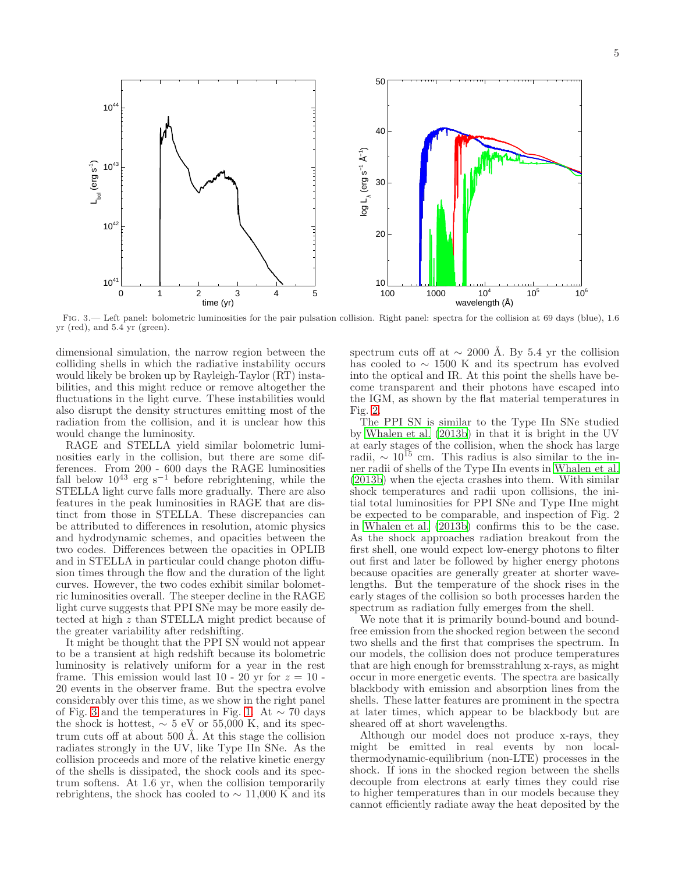

<span id="page-4-0"></span>Fig. 3.— Left panel: bolometric luminosities for the pair pulsation collision. Right panel: spectra for the collision at 69 days (blue), 1.6 yr (red), and 5.4 yr (green).

dimensional simulation, the narrow region between the colliding shells in which the radiative instability occurs would likely be broken up by Rayleigh-Taylor (RT) instabilities, and this might reduce or remove altogether the fluctuations in the light curve. These instabilities would also disrupt the density structures emitting most of the radiation from the collision, and it is unclear how this would change the luminosity.

RAGE and STELLA yield similar bolometric luminosities early in the collision, but there are some differences. From 200 - 600 days the RAGE luminosities fall below  $10^{43}$  erg s<sup>-1</sup> before rebrightening, while the STELLA light curve falls more gradually. There are also features in the peak luminosities in RAGE that are distinct from those in STELLA. These discrepancies can be attributed to differences in resolution, atomic physics and hydrodynamic schemes, and opacities between the two codes. Differences between the opacities in OPLIB and in STELLA in particular could change photon diffusion times through the flow and the duration of the light curves. However, the two codes exhibit similar bolometric luminosities overall. The steeper decline in the RAGE light curve suggests that PPI SNe may be more easily detected at high z than STELLA might predict because of the greater variability after redshifting.

It might be thought that the PPI SN would not appear to be a transient at high redshift because its bolometric luminosity is relatively uniform for a year in the rest frame. This emission would last 10 - 20 yr for  $z = 10$  -20 events in the observer frame. But the spectra evolve considerably over this time, as we show in the right panel of Fig. [3](#page-4-0) and the temperatures in Fig. [1.](#page-2-0) At  $\sim$  70 days the shock is hottest,  $\sim 5$  eV or 55,000 K, and its spectrum cuts off at about  $500 \text{ Å}$ . At this stage the collision radiates strongly in the UV, like Type IIn SNe. As the collision proceeds and more of the relative kinetic energy of the shells is dissipated, the shock cools and its spectrum softens. At 1.6 yr, when the collision temporarily rebrightens, the shock has cooled to  $\sim$  11,000 K and its

spectrum cuts off at  $\sim 2000$  Å. By 5.4 yr the collision has cooled to  $\sim$  1500 K and its spectrum has evolved into the optical and IR. At this point the shells have become transparent and their photons have escaped into the IGM, as shown by the flat material temperatures in Fig. [2.](#page-3-0)

The PPI SN is similar to the Type IIn SNe studied by [Whalen et al. \(2013b](#page-8-26)) in that it is bright in the UV at early stages of the collision, when the shock has large radii,  $\sim 10^{15}$  cm. This radius is also similar to the inner radii of shells of the Type IIn events in [Whalen et al.](#page-8-26) [\(2013b\)](#page-8-26) when the ejecta crashes into them. With similar shock temperatures and radii upon collisions, the initial total luminosities for PPI SNe and Type IIne might be expected to be comparable, and inspection of Fig. 2 in [Whalen et al. \(2013b\)](#page-8-26) confirms this to be the case. As the shock approaches radiation breakout from the first shell, one would expect low-energy photons to filter out first and later be followed by higher energy photons because opacities are generally greater at shorter wavelengths. But the temperature of the shock rises in the early stages of the collision so both processes harden the spectrum as radiation fully emerges from the shell.

We note that it is primarily bound-bound and boundfree emission from the shocked region between the second two shells and the first that comprises the spectrum. In our models, the collision does not produce temperatures that are high enough for bremsstrahlung x-rays, as might occur in more energetic events. The spectra are basically blackbody with emission and absorption lines from the shells. These latter features are prominent in the spectra at later times, which appear to be blackbody but are sheared off at short wavelengths.

Although our model does not produce x-rays, they might be emitted in real events by non localthermodynamic-equilibrium (non-LTE) processes in the shock. If ions in the shocked region between the shells decouple from electrons at early times they could rise to higher temperatures than in our models because they cannot efficiently radiate away the heat deposited by the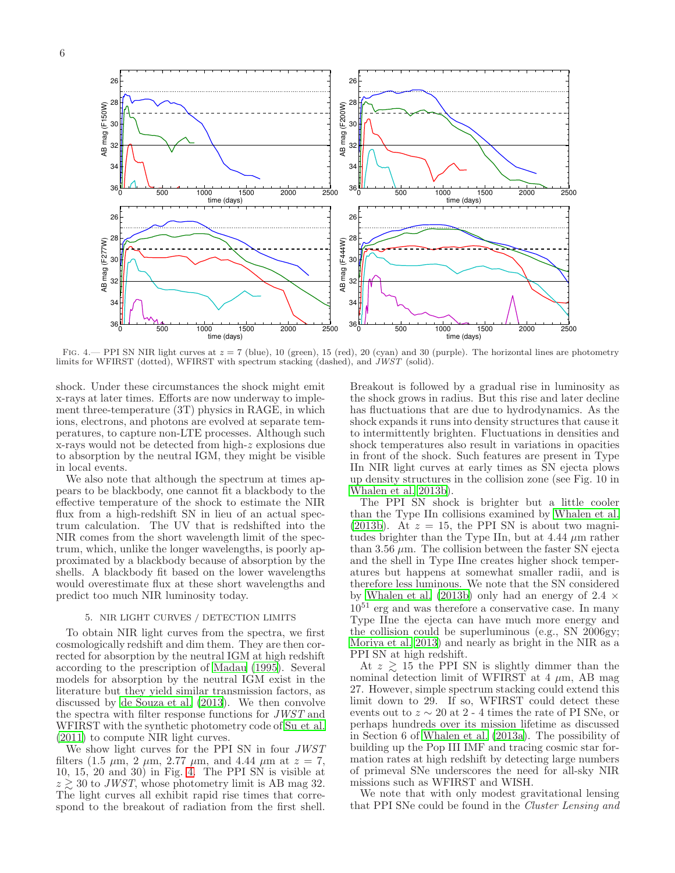

<span id="page-5-0"></span>FIG. 4.— PPI SN NIR light curves at  $z = 7$  (blue), 10 (green), 15 (red), 20 (cyan) and 30 (purple). The horizontal lines are photometry limits for WFIRST (dotted), WFIRST with spectrum stacking (dashed), and  $JWST$  (solid).

shock. Under these circumstances the shock might emit x-rays at later times. Efforts are now underway to implement three-temperature (3T) physics in RAGE, in which ions, electrons, and photons are evolved at separate temperatures, to capture non-LTE processes. Although such x-rays would not be detected from high-z explosions due to absorption by the neutral IGM, they might be visible in local events.

We also note that although the spectrum at times appears to be blackbody, one cannot fit a blackbody to the effective temperature of the shock to estimate the NIR flux from a high-redshift SN in lieu of an actual spectrum calculation. The UV that is redshifted into the NIR comes from the short wavelength limit of the spectrum, which, unlike the longer wavelengths, is poorly approximated by a blackbody because of absorption by the shells. A blackbody fit based on the lower wavelengths would overestimate flux at these short wavelengths and predict too much NIR luminosity today.

## 5. NIR LIGHT CURVES / DETECTION LIMITS

To obtain NIR light curves from the spectra, we first cosmologically redshift and dim them. They are then corrected for absorption by the neutral IGM at high redshift according to the prescription of [Madau \(1995\)](#page-7-60). Several models for absorption by the neutral IGM exist in the literature but they yield similar transmission factors, as discussed by [de Souza et al. \(2013](#page-7-46)). We then convolve the spectra with filter response functions for JWST and WFIRST with the synthetic photometry code of [Su et al.](#page-8-31) [\(2011\)](#page-8-31) to compute NIR light curves.

We show light curves for the PPI SN in four JWST filters (1.5  $\mu$ m, 2  $\mu$ m, 2.77  $\mu$ m, and 4.44  $\mu$ m at  $z = 7$ , 10, 15, 20 and 30) in Fig. [4.](#page-5-0) The PPI SN is visible at  $z \geq 30$  to JWST, whose photometry limit is AB mag 32. The light curves all exhibit rapid rise times that correspond to the breakout of radiation from the first shell.

Breakout is followed by a gradual rise in luminosity as the shock grows in radius. But this rise and later decline has fluctuations that are due to hydrodynamics. As the shock expands it runs into density structures that cause it to intermittently brighten. Fluctuations in densities and shock temperatures also result in variations in opacities in front of the shock. Such features are present in Type IIn NIR light curves at early times as SN ejecta plows up density structures in the collision zone (see Fig. 10 in [Whalen et al. 2013b](#page-8-26)).

The PPI SN shock is brighter but a little cooler than the Type IIn collisions examined by [Whalen et al.](#page-8-26) [\(2013b\)](#page-8-26). At  $z = 15$ , the PPI SN is about two magnitudes brighter than the Type IIn, but at  $4.44 \mu m$  rather than 3.56  $\mu$ m. The collision between the faster SN ejecta and the shell in Type IIne creates higher shock temperatures but happens at somewhat smaller radii, and is therefore less luminous. We note that the SN considered by [Whalen et al. \(2013b](#page-8-26)) only had an energy of 2.4  $\times$  $10^{51}$  erg and was therefore a conservative case. In many Type IIne the ejecta can have much more energy and the collision could be superluminous (e.g., SN 2006gy; [Moriya et al. 2013\)](#page-7-50) and nearly as bright in the NIR as a PPI SN at high redshift.

At  $z \geq 15$  the PPI SN is slightly dimmer than the nominal detection limit of WFIRST at 4  $\mu$ m, AB mag 27. However, simple spectrum stacking could extend this limit down to 29. If so, WFIRST could detect these events out to  $z \sim 20$  at 2 - 4 times the rate of PI SNe, or perhaps hundreds over its mission lifetime as discussed in Section 6 of [Whalen et al. \(2013a\)](#page-8-15). The possibility of building up the Pop III IMF and tracing cosmic star formation rates at high redshift by detecting large numbers of primeval SNe underscores the need for all-sky NIR missions such as WFIRST and WISH.

We note that with only modest gravitational lensing that PPI SNe could be found in the Cluster Lensing and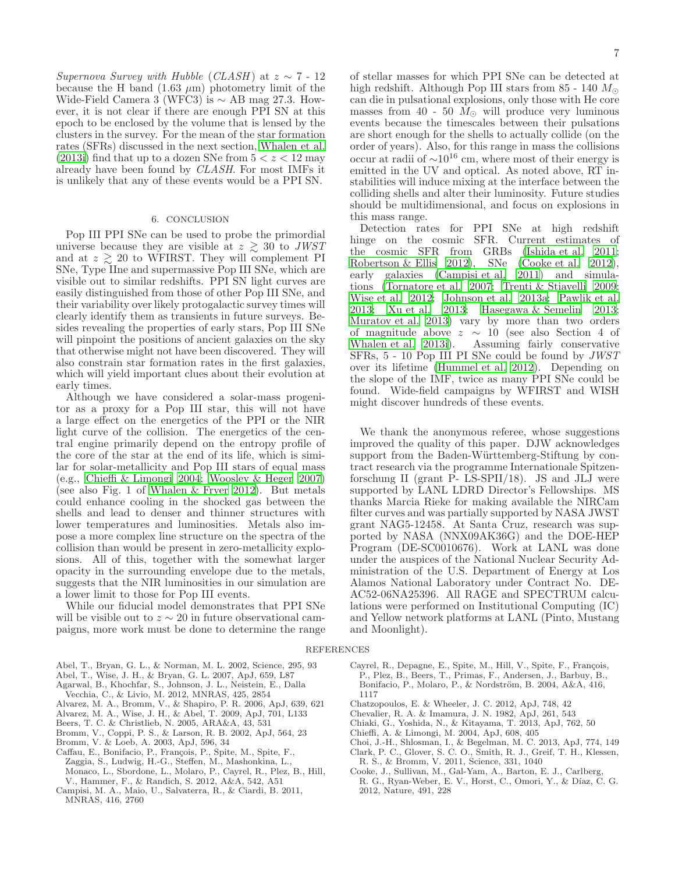Supernova Survey with Hubble (CLASH) at  $z \sim 7$  - 12 because the H band  $(1.63 \mu m)$  photometry limit of the Wide-Field Camera 3 (WFC3) is  $\sim$  AB mag 27.3. However, it is not clear if there are enough PPI SN at this epoch to be enclosed by the volume that is lensed by the clusters in the survey. For the mean of the star formation rates (SFRs) discussed in the next section, [Whalen et al.](#page-8-32) [\(2013i\)](#page-8-32) find that up to a dozen SNe from  $5 < z < 12$  may already have been found by CLASH. For most IMFs it is unlikely that any of these events would be a PPI SN.

### 6. CONCLUSION

Pop III PPI SNe can be used to probe the primordial universe because they are visible at  $z \geq 30$  to JWST and at  $z \geq 20$  to WFIRST. They will complement PI SNe, Type IIne and supermassive Pop III SNe, which are visible out to similar redshifts. PPI SN light curves are easily distinguished from those of other Pop III SNe, and their variability over likely protogalactic survey times will clearly identify them as transients in future surveys. Besides revealing the properties of early stars, Pop III SNe will pinpoint the positions of ancient galaxies on the sky that otherwise might not have been discovered. They will also constrain star formation rates in the first galaxies, which will yield important clues about their evolution at early times.

Although we have considered a solar-mass progenitor as a proxy for a Pop III star, this will not have a large effect on the energetics of the PPI or the NIR light curve of the collision. The energetics of the central engine primarily depend on the entropy profile of the core of the star at the end of its life, which is similar for solar-metallicity and Pop III stars of equal mass (e.g., [Chieffi & Limongi 2004;](#page-6-16) [Woosley & Heger 2007](#page-8-33)) (see also Fig. 1 of [Whalen & Fryer 2012\)](#page-8-5). But metals could enhance cooling in the shocked gas between the shells and lead to denser and thinner structures with lower temperatures and luminosities. Metals also impose a more complex line structure on the spectra of the collision than would be present in zero-metallicity explosions. All of this, together with the somewhat larger opacity in the surrounding envelope due to the metals, suggests that the NIR luminosities in our simulation are a lower limit to those for Pop III events.

While our fiducial model demonstrates that PPI SNe will be visible out to  $z \sim 20$  in future observational campaigns, more work must be done to determine the range

<span id="page-6-10"></span>Abel, T., Bryan, G. L., & Norman, M. L. 2002, Science, 295, 93 Abel, T., Wise, J. H., & Bryan, G. L. 2007, ApJ, 659, L87

- <span id="page-6-1"></span>
- <span id="page-6-5"></span>Agarwal, B., Khochfar, S., Johnson, J. L., Neistein, E., Dalla
- Vecchia, C., & Livio, M. 2012, MNRAS, 425, 2854
- <span id="page-6-0"></span>Alvarez, M. A., Bromm, V., & Shapiro, P. R. 2006, ApJ, 639, 621
- <span id="page-6-4"></span>Alvarez, M. A., Wise, J. H., & Abel, T. 2009, ApJ, 701, L133
- <span id="page-6-8"></span>Beers, T. C. & Christlieb, N. 2005, ARA&A, 43, 531 Bromm, V., Coppi, P. S., & Larson, R. B. 2002, ApJ, 564, 23
- <span id="page-6-11"></span>
- <span id="page-6-3"></span>Bromm, V. & Loeb, A. 2003, ApJ, 596, 34
- <span id="page-6-9"></span>Caffau, E., Bonifacio, P., François, P., Spite, M., Spite, F., Zaggia, S., Ludwig, H.-G., Steffen, M., Mashonkina, L., Monaco, L., Sbordone, L., Molaro, P., Cayrel, R., Plez, B., Hill, V., Hammer, F., & Randich, S. 2012, A&A, 542, A51
- <span id="page-6-17"></span>Campisi, M. A., Maio, U., Salvaterra, R., & Ciardi, B. 2011, MNRAS, 416, 2760

of stellar masses for which PPI SNe can be detected at high redshift. Although Pop III stars from 85 - 140  $M_{\odot}$ can die in pulsational explosions, only those with He core masses from 40 - 50  $M_{\odot}$  will produce very luminous events because the timescales between their pulsations are short enough for the shells to actually collide (on the order of years). Also, for this range in mass the collisions occur at radii of  $\sim 10^{16}$  cm, where most of their energy is emitted in the UV and optical. As noted above, RT instabilities will induce mixing at the interface between the colliding shells and alter their luminosity. Future studies should be multidimensional, and focus on explosions in this mass range.

Detection rates for PPI SNe at high redshift hinge on the cosmic SFR. Current estimates of the cosmic SFR from GRBs [\(Ishida et al. 2011](#page-7-61); [Robertson & Ellis 2012](#page-7-62)), SNe [\(Cooke et al. 2012](#page-6-13)), early galaxies [\(Campisi et al. 2011\)](#page-6-17) and simulations [\(Tornatore et al. 2007;](#page-8-34) [Trenti & Stiavelli 2009](#page-8-35); [Wise et al. 2012](#page-8-3); [Johnson et al. 2013a;](#page-7-63) [Pawlik et al.](#page-7-11) [2013;](#page-7-11) [Xu et al. 2013;](#page-8-36) [Hasegawa & Semelin 2013](#page-7-64); [Muratov et al. 2013\)](#page-7-65) vary by more than two orders of magnitude above  $z \sim 10$  (see also Section 4 of Whalen et al. 2013i). Assuming fairly conservative Assuming fairly conservative SFRs, 5 - 10 Pop III PI SNe could be found by JWST over its lifetime [\(Hummel et al. 2012](#page-7-44)). Depending on the slope of the IMF, twice as many PPI SNe could be found. Wide-field campaigns by WFIRST and WISH might discover hundreds of these events.

We thank the anonymous referee, whose suggestions improved the quality of this paper. DJW acknowledges support from the Baden-Württemberg-Stiftung by contract research via the programme Internationale Spitzenforschung II (grant  $\overline{P}$ - LS-SPII/18). JS and JLJ were supported by LANL LDRD Director's Fellowships. MS thanks Marcia Rieke for making available the NIRCam filter curves and was partially supported by NASA JWST grant NAG5-12458. At Santa Cruz, research was supported by NASA (NNX09AK36G) and the DOE-HEP Program (DE-SC0010676). Work at LANL was done under the auspices of the National Nuclear Security Administration of the U.S. Department of Energy at Los Alamos National Laboratory under Contract No. DE-AC52-06NA25396. All RAGE and SPECTRUM calculations were performed on Institutional Computing (IC) and Yellow network platforms at LANL (Pinto, Mustang and Moonlight).

#### REFERENCES

- <span id="page-6-7"></span>Cayrel, R., Depagne, E., Spite, M., Hill, V., Spite, F., François, P., Plez, B., Beers, T., Primas, F., Andersen, J., Barbuy, B., Bonifacio, P., Molaro, P., & Nordström, B. 2004, A&A, 416, 1117
- <span id="page-6-14"></span>Chatzopoulos, E. & Wheeler, J. C. 2012, ApJ, 748, 42
- <span id="page-6-15"></span>Chevalier, R. A. & Imamura, J. N. 1982, ApJ, 261, 543
- <span id="page-6-2"></span>Chiaki, G., Yoshida, N., & Kitayama, T. 2013, ApJ, 762, 50
- <span id="page-6-16"></span>Chieffi, A. & Limongi, M. 2004, ApJ, 608, 405
- <span id="page-6-6"></span>Choi, J.-H., Shlosman, I., & Begelman, M. C. 2013, ApJ, 774, 149 Clark, P. C., Glover, S. C. O., Smith, R. J., Greif, T. H., Klessen,
- <span id="page-6-12"></span>R. S., & Bromm, V. 2011, Science, 331, 1040
- <span id="page-6-13"></span>Cooke, J., Sullivan, M., Gal-Yam, A., Barton, E. J., Carlberg, R. G., Ryan-Weber, E. V., Horst, C., Omori, Y., & Díaz, C. G. 2012, Nature, 491, 228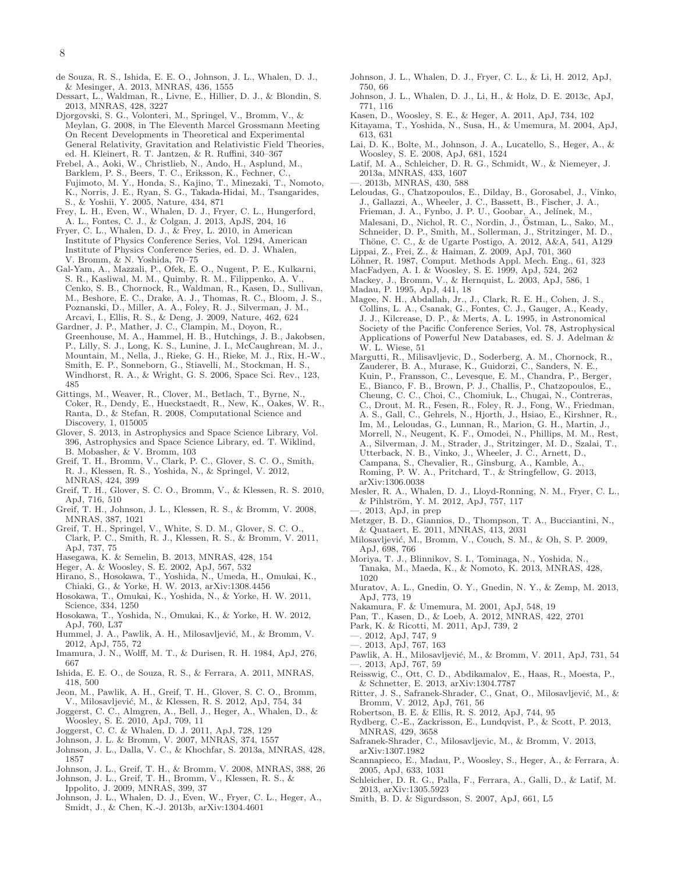- <span id="page-7-46"></span>de Souza, R. S., Ishida, E. E. O., Johnson, J. L., Whalen, D. J., & Mesinger, A. 2013, MNRAS, 436, 1555
- <span id="page-7-45"></span>Dessart, L., Waldman, R., Livne, E., Hillier, D. J., & Blondin, S. 2013, MNRAS, 428, 3227
- <span id="page-7-13"></span>Djorgovski, S. G., Volonteri, M., Springel, V., Bromm, V., & Meylan, G. 2008, in The Eleventh Marcel Grossmann Meeting On Recent Developments in Theoretical and Experimental General Relativity, Gravitation and Relativistic Field Theories, ed. H. Kleinert, R. T. Jantzen, & R. Ruffini, 340–367
- <span id="page-7-27"></span>Frebel, A., Aoki, W., Christlieb, N., Ando, H., Asplund, M., Barklem, P. S., Beers, T. C., Eriksson, K., Fechner, C., Fujimoto, M. Y., Honda, S., Kajino, T., Minezaki, T., Nomoto, K., Norris, J. E., Ryan, S. G., Takada-Hidai, M., Tsangarides, S., & Yoshii, Y. 2005, Nature, 434, 871
- <span id="page-7-56"></span>Frey, L. H., Even, W., Whalen, D. J., Fryer, C. L., Hungerford, A. L., Fontes, C. J., & Colgan, J. 2013, ApJS, 204, 16
- <span id="page-7-41"></span>Fryer, C. L., Whalen, D. J., & Frey, L. 2010, in American Institute of Physics Conference Series, Vol. 1294, American Institute of Physics Conference Series, ed. D. J. Whalen, V. Bromm,  $\&$  N. Yoshida, 70–75
- <span id="page-7-39"></span>Gal-Yam, A., Mazzali, P., Ofek, E. O., Nugent, P. E., Kulkarni, S. R., Kasliwal, M. M., Quimby, R. M., Filippenko, A. V., Cenko, S. B., Chornock, R., Waldman, R., Kasen, D., Sullivan, M., Beshore, E. C., Drake, A. J., Thomas, R. C., Bloom, J. S., Poznanski, D., Miller, A. A., Foley, R. J., Silverman, J. M., Arcavi, I., Ellis, R. S., & Deng, J. 2009, Nature, 462, 624
- <span id="page-7-25"></span>Gardner, J. P., Mather, J. C., Clampin, M., Doyon, R., Greenhouse, M. A., Hammel, H. B., Hutchings, J. B., Jakobsen, P., Lilly, S. J., Long, K. S., Lunine, J. I., McCaughrean, M. J., Mountain, M., Nella, J., Rieke, G. H., Rieke, M. J., Rix, H.-W., Smith, E. P., Sonneborn, G., Stiavelli, M., Stockman, H. S., Windhorst, R. A., & Wright, G. S. 2006, Space Sci. Rev., 123, 485
- <span id="page-7-55"></span>Gittings, M., Weaver, R., Clover, M., Betlach, T., Byrne, N., Coker, R., Dendy, E., Hueckstaedt, R., New, K., Oakes, W. R., Ranta, D., & Stefan, R. 2008, Computational Science and Discovery, 1, 015005
- <span id="page-7-36"></span>Glover, S. 2013, in Astrophysics and Space Science Library, Vol. 396, Astrophysics and Space Science Library, ed. T. Wiklind, B. Mobasher, & V. Bromm, 103
- <span id="page-7-33"></span>Greif, T. H., Bromm, V., Clark, P. C., Glover, S. C. O., Smith, R. J., Klessen, R. S., Yoshida, N., & Springel, V. 2012, MNRAS, 424, 399
- <span id="page-7-8"></span>Greif, T. H., Glover, S. C. O., Bromm, V., & Klessen, R. S. 2010, ApJ, 716, 510
- <span id="page-7-6"></span>Greif, T. H., Johnson, J. L., Klessen, R. S., & Bromm, V. 2008, MNRAS, 387, 1021
- <span id="page-7-32"></span>Greif, T. H., Springel, V., White, S. D. M., Glover, S. C. O., Clark, P. C., Smith, R. J., Klessen, R. S., & Bromm, V. 2011, ApJ, 737, 75
- <span id="page-7-64"></span>Hasegawa, K. & Semelin, B. 2013, MNRAS, 428, 154
- <span id="page-7-37"></span>Heger, A. & Woosley, S. E. 2002, ApJ, 567, 532
- <span id="page-7-35"></span>Hirano, S., Hosokawa, T., Yoshida, N., Umeda, H., Omukai, K.,
- <span id="page-7-31"></span>Chiaki, G., & Yorke, H. W. 2013, arXiv:1308.4456 Hosokawa, T., Omukai, K., Yoshida, N., & Yorke, H. W. 2011, Science, 334, 1250
- <span id="page-7-34"></span>Hosokawa, T., Yoshida, N., Omukai, K., & Yorke, H. W. 2012, ApJ, 760, L37
- <span id="page-7-44"></span>Hummel, J. A., Pawlik, A. H., Milosavljević, M., & Bromm, V. 2012, ApJ, 755, 72
- <span id="page-7-59"></span>Imamura, J. N., Wolff, M. T., & Durisen, R. H. 1984, ApJ, 276, 667
- <span id="page-7-61"></span>Ishida, E. E. O., de Souza, R. S., & Ferrara, A. 2011, MNRAS, 418, 500
- <span id="page-7-9"></span>Jeon, M., Pawlik, A. H., Greif, T. H., Glover, S. C. O., Bromm, V., Milosavljević, M., & Klessen, R. S. 2012, ApJ, 754, 34
- <span id="page-7-29"></span>Joggerst, C. C., Almgren, A., Bell, J., Heger, A., Whalen, D., & Woosley, S. E. 2010, ApJ, 709, 11
- <span id="page-7-40"></span>Joggerst, C. C. & Whalen, D. J. 2011, ApJ, 728, 129
- <span id="page-7-12"></span>Johnson, J. L. & Bromm, V. 2007, MNRAS, 374, 1557
- <span id="page-7-63"></span>Johnson, J. L., Dalla, V. C., & Khochfar, S. 2013a, MNRAS, 428, 1857
- <span id="page-7-5"></span>Johnson, J. L., Greif, T. H., & Bromm, V. 2008, MNRAS, 388, 26
- <span id="page-7-7"></span>Johnson, J. L., Greif, T. H., Bromm, V., Klessen, R. S., &
- Ippolito, J. 2009, MNRAS, 399, 37
- <span id="page-7-47"></span>Johnson, J. L., Whalen, D. J., Even, W., Fryer, C. L., Heger, A., Smidt, J., & Chen, K.-J. 2013b, arXiv:1304.4601
- <span id="page-7-18"></span>Johnson, J. L., Whalen, D. J., Fryer, C. L., & Li, H. 2012, ApJ, 750, 66
- <span id="page-7-19"></span>Johnson, J. L., Whalen, D. J., Li, H., & Holz, D. E. 2013c, ApJ, 771, 116
- <span id="page-7-42"></span>Kasen, D., Woosley, S. E., & Heger, A. 2011, ApJ, 734, 102
- <span id="page-7-0"></span>Kitayama, T., Yoshida, N., Susa, H., & Umemura, M. 2004, ApJ, 613, 631
- <span id="page-7-28"></span>Lai, D. K., Bolte, M., Johnson, J. A., Lucatello, S., Heger, A., & Woosley, S. E. 2008, ApJ, 681, 1524
- <span id="page-7-21"></span>Latif, M. A., Schleicher, D. R. G., Schmidt, W., & Niemeyer, J. 2013a, MNRAS, 433, 1607
- <span id="page-7-22"></span>—. 2013b, MNRAS, 430, 588
- <span id="page-7-49"></span>Leloudas, G., Chatzopoulos, E., Dilday, B., Gorosabel, J., Vinko, J., Gallazzi, A., Wheeler, J. C., Bassett, B., Fischer, J. A., Frieman, J. A., Fynbo, J. P. U., Goobar, A., Jelínek, M., Malesani, D., Nichol, R. C., Nordin, J., Ostman, L., Sako, M., ¨ Schneider, D. P., Smith, M., Sollerman, J., Stritzinger, M. D., Thöne, C. C., & de Ugarte Postigo, A. 2012, A&A, 541, A129 Lippai, Z., Frei, Z., & Haiman, Z. 2009, ApJ, 701, 360
- <span id="page-7-58"></span><span id="page-7-15"></span>Löhner, R. 1987, Comput. Methods Appl. Mech. Eng., 61, 323
- <span id="page-7-52"></span>MacFadyen, A. I. & Woosley, S. E. 1999, ApJ, 524, 262
- <span id="page-7-1"></span>Mackey, J., Bromm, V., & Hernquist, L. 2003, ApJ, 586, 1
- <span id="page-7-60"></span>Madau, P. 1995, ApJ, 441, 18
- <span id="page-7-57"></span>Magee, N. H., Abdallah, Jr., J., Clark, R. E. H., Cohen, J. S., Collins, L. A., Csanak, G., Fontes, C. J., Gauger, A., Keady, J. J., Kilcrease, D. P., & Merts, A. L. 1995, in Astronomical Society of the Pacific Conference Series, Vol. 78, Astrophysical Applications of Powerful New Databases, ed. S. J. Adelman & W. L. Wiese, 51
- <span id="page-7-48"></span>Margutti, R., Milisavljevic, D., Soderberg, A. M., Chornock, R., Zauderer, B. A., Murase, K., Guidorzi, C., Sanders, N. E., Kuin, P., Fransson, C., Levesque, E. M., Chandra, P., Berger, E., Bianco, F. B., Brown, P. J., Challis, P., Chatzopoulos, E., Cheung, C. C., Choi, C., Chomiuk, L., Chugai, N., Contreras, C., Drout, M. R., Fesen, R., Foley, R. J., Fong, W., Friedman, A. S., Gall, C., Gehrels, N., Hjorth, J., Hsiao, E., Kirshner, R., Im, M., Leloudas, G., Lunnan, R., Marion, G. H., Martin, J., Morrell, N., Neugent, K. F., Omodei, N., Phillips, M. M., Rest, A., Silverman, J. M., Strader, J., Stritzinger, M. D., Szalai, T., Utterback, N. B., Vinko, J., Wheeler, J. C., Arnett, D., Campana, S., Chevalier, R., Ginsburg, A., Kamble, A., Roming, P. W. A., Pritchard, T., & Stringfellow, G. 2013, arXiv:1306.0038
- <span id="page-7-53"></span>Mesler, R. A., Whalen, D. J., Lloyd-Ronning, N. M., Fryer, C. L., & Pihlström, Y. M. 2012, ApJ, 757, 117
- <span id="page-7-54"></span> $2013$ , ApJ, in prep
- <span id="page-7-51"></span>Metzger, B. D., Giannios, D., Thompson, T. A., Bucciantini, N., & Quataert, E. 2011, MNRAS, 413, 2031
- <span id="page-7-14"></span>Milosavljević, M., Bromm, V., Couch, S. M., & Oh, S. P. 2009, ApJ, 698, 766
- <span id="page-7-50"></span>Moriya, T. J., Blinnikov, S. I., Tominaga, N., Yoshida, N., Tanaka, M., Maeda, K., & Nomoto, K. 2013, MNRAS, 428, 1020
- <span id="page-7-65"></span>Muratov, A. L., Gnedin, O. Y., Gnedin, N. Y., & Zemp, M. 2013, ApJ, 773, 19
- <span id="page-7-30"></span>Nakamura, F. & Umemura, M. 2001, ApJ, 548, 19
- <span id="page-7-43"></span>Pan, T., Kasen, D., & Loeb, A. 2012, MNRAS, 422, 2701
- <span id="page-7-16"></span>Park, K. & Ricotti, M. 2011, ApJ, 739, 2
- <span id="page-7-17"></span>—. 2012, ApJ, 747, 9
- <span id="page-7-20"></span>—. 2013, ApJ, 767, 163
- <span id="page-7-10"></span>Pawlik, A. H., Milosavljević, M., & Bromm, V. 2011, ApJ, 731, 54 —. 2013, ApJ, 767, 59
- <span id="page-7-24"></span><span id="page-7-11"></span>Reisswig, C., Ott, C. D., Abdikamalov, E., Haas, R., Moesta, P., & Schnetter, E. 2013, arXiv:1304.7787
- <span id="page-7-3"></span>Ritter, J. S., Safranek-Shrader, C., Gnat, O., Milosavljević, M., & Bromm, V. 2012, ApJ, 761, 56
- <span id="page-7-62"></span>Robertson, B. E. & Ellis, R. S. 2012, ApJ, 744, 95
- <span id="page-7-26"></span>Rydberg, C.-E., Zackrisson, E., Lundqvist, P., & Scott, P. 2013,
- MNRAS, 429, 3658 Safranek-Shrader, C., Milosavljevic, M., & Bromm, V. 2013,
- <span id="page-7-4"></span>arXiv:1307.1982 Scannapieco, E., Madau, P., Woosley, S., Heger, A., & Ferrara, A.
- <span id="page-7-38"></span>2005, ApJ, 633, 1031 Schleicher, D. R. G., Palla, F., Ferrara, A., Galli, D., & Latif, M.
- <span id="page-7-23"></span>2013, arXiv:1305.5923
- <span id="page-7-2"></span>Smith, B. D. & Sigurdsson, S. 2007, ApJ, 661, L5